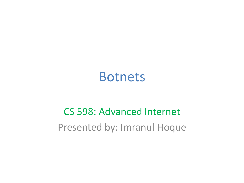#### Botnets

#### CS 598: Advanced Internet Presented by: Imranul Hoque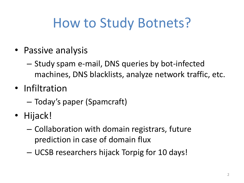# How to Study Botnets?

- Passive analysis
	- Study spam e-mail, DNS queries by bot-infected machines, DNS blacklists, analyze network traffic, etc.
- Infiltration
	- Today's paper (Spamcraft)
- Hijack!
	- Collaboration with domain registrars, future prediction in case of domain flux
	- UCSB researchers hijack Torpig for 10 days!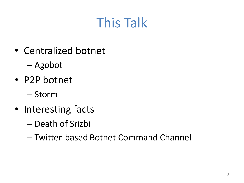# This Talk

- Centralized botnet
	- Agobot
- P2P botnet
	- Storm
- Interesting facts
	- Death of Srizbi
	- Twitter-based Botnet Command Channel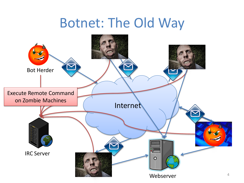## Botnet: The Old Way

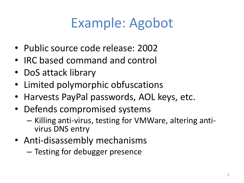# Example: Agobot

- Public source code release: 2002
- IRC based command and control
- DoS attack library
- Limited polymorphic obfuscations
- Harvests PayPal passwords, AOL keys, etc.
- Defends compromised systems
	- Killing anti-virus, testing for VMWare, altering antivirus DNS entry
- Anti-disassembly mechanisms
	- Testing for debugger presence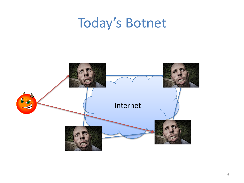#### Today's Botnet

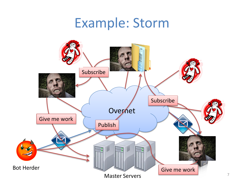#### Example: Storm

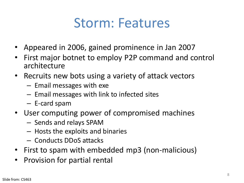### Storm: Features

- Appeared in 2006, gained prominence in Jan 2007
- First major botnet to employ P2P command and control architecture
- Recruits new bots using a variety of attack vectors
	- Email messages with exe
	- Email messages with link to infected sites
	- E-card spam
- User computing power of compromised machines
	- Sends and relays SPAM
	- Hosts the exploits and binaries
	- Conducts DDoS attacks
- First to spam with embedded mp3 (non-malicious)
- Provision for partial rental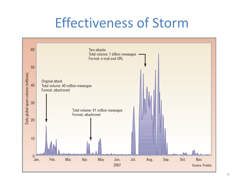### Effectiveness of Storm

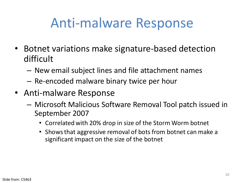### Anti-malware Response

- Botnet variations make signature-based detection difficult
	- New email subject lines and file attachment names
	- Re-encoded malware binary twice per hour
- Anti-malware Response
	- Microsoft Malicious Software Removal Tool patch issued in September 2007
		- Correlated with 20% drop in size of the Storm Worm botnet
		- Shows that aggressive removal of bots from botnet can make a significant impact on the size of the botnet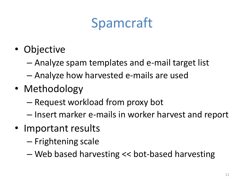# Spamcraft

- Objective
	- Analyze spam templates and e-mail target list
	- Analyze how harvested e-mails are used
- Methodology
	- Request workload from proxy bot
	- Insert marker e-mails in worker harvest and report
- Important results
	- Frightening scale
	- Web based harvesting << bot-based harvesting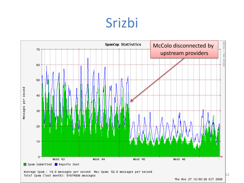#### Srizbi

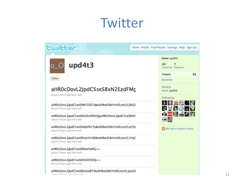### Twitter

| <b>Ewitter</b>                                                                           | Home Profile Find People Settings Help Sign out                                                   |
|------------------------------------------------------------------------------------------|---------------------------------------------------------------------------------------------------|
| upd4t3<br>Follow                                                                         | Name upd4t3<br>20<br>following followers                                                          |
|                                                                                          | <b>Tweets</b><br>25<br>Favorites                                                                  |
| aHR0cDovL2JpdC5seS8xN2EzdFMc<br>about 2 hours ago from web                               | Actions<br>block upd4t3<br>Following                                                              |
| aHR0cDovL2JpdC5seS9MT2ZSTyBodHRwOi8vYmI0Lmx5L0ltZ2<br>about 2 hours ago from web         | <b>DES</b><br><b>ESCHI</b><br><b>BUILDING AND IN</b><br><b>MAG</b><br>RSS feed of upd4t3's tweets |
| aHR0cDovL2JpdC5seS8xN2w0RmEgaHR0cDovL2JpdC5seS8xN<br>about 4 hours ago from web          |                                                                                                   |
| aHR0cDovL2JpdC5seS9wbVN1YyBodHRwOi8vYmI0Lmx5LzE3b<br>about 4 hours ago from web          |                                                                                                   |
| aHR0cDovL2JpdC5seS9HaHVVdSBodHRwOi8vYmI0Lmx5L1FqC<br>about 5 hours ago from web          |                                                                                                   |
| aHR0cDovL2JpdC5seS9RakFaWQ==<br>about 5 hours ago from web                               |                                                                                                   |
| aHR0cDovL2JpdC5seS83UGFEOQ==<br>about 5 hours ago from web                               |                                                                                                   |
| aHR0cDovL2JpdC5seS8zUndBTiBodHRwOi8vYmI0Lmx5LzJwU0<br>algazze 17 legazze was frage posts |                                                                                                   |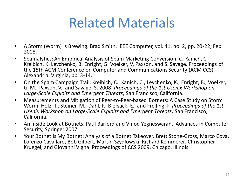## Related Materials

- A Storm (Worm) Is Brewing. Brad Smith. IEEE Computer, vol. 41, no. 2, pp. 20-22, Feb. 2008.
- Spamalytics: An Empirical Analysis of Spam Marketing Conversion. C. Kanich, C. Kreibich, K. Levchenko, B. Enright, G. Voelker, V. Paxson, and S. Savage. Proceedings of the 15th ACM Conference on Computer and Communications Security (ACM CCS), Alexandria, Virginia, pp. 3-14.
- On the Spam Campaign Trail. Kreibich, C., Kanich, C., Levchenko, K., Enright, B., Voelker, G. M., Paxson, V., and Savage, S. 2008. *Proceedings of the 1st Usenix Workshop on Large-Scale Exploits and Emergent Threats*, San Francisco, California.
- Measurements and Mitigation of Peer-to-Peer-based Botnets: A Case Study on Storm Worm. Holz, T., Steiner, M., Dahl, F., Biersack, E., and Freiling, F. *Proceedings of the 1st Usenix Workshop on Large-Scale Exploits and Emergent Threats*, San Francisco, California.
- An Inside Look at Botnets. Paul Barford and Vinod Yegneswaran. Advances in Computer Security, Springer 2007.
- Your Botnet is My Botnet: Analysis of a Botnet Takeover. Brett Stone-Gross, Marco Cova, Lorenzo Cavallaro, Bob Gilbert, Martin Szydlowski, Richard Kemmerer, Christopher Kruegel, and Giovanni Vigna. Proceedings of CCS 2009, Chicago, Illinois.